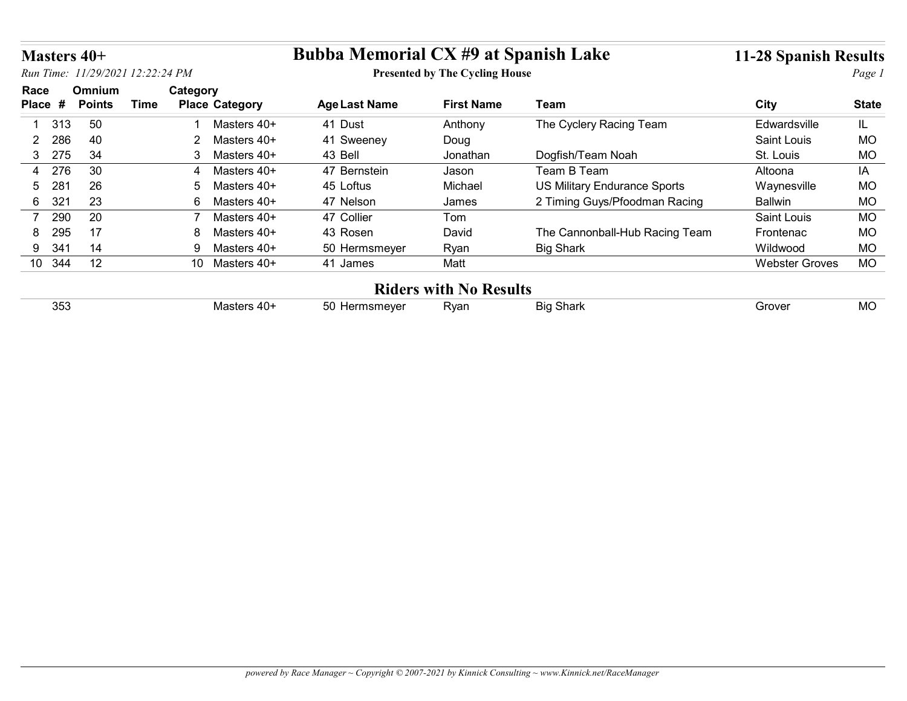| Masters 40+           |               |                                      | <b>Bubba Memorial CX #9 at Spanish Lake</b> |                                       |                                     | <b>11-28 Spanish Results</b> |              |
|-----------------------|---------------|--------------------------------------|---------------------------------------------|---------------------------------------|-------------------------------------|------------------------------|--------------|
|                       |               | Run Time: 11/29/2021 12:22:24 PM     |                                             | <b>Presented by The Cycling House</b> |                                     |                              | Page 1       |
| Race                  | Omnium        | Category                             |                                             |                                       |                                     |                              |              |
| Place #               | <b>Points</b> | <b>Time</b><br><b>Place Category</b> | <b>Age Last Name</b>                        | <b>First Name</b>                     | Team                                | <b>City</b>                  | <b>State</b> |
| 313                   | 50            | Masters 40+                          | 41 Dust                                     | Anthony                               | The Cyclery Racing Team             | Edwardsville                 | IL.          |
| 286<br>$\overline{2}$ | 40            | $\overline{2}$<br>Masters 40+        | 41 Sweeney                                  | Doug                                  |                                     | Saint Louis                  | MO           |
| 275<br>3 <sup>1</sup> | 34            | Masters 40+<br>3                     | 43 Bell                                     | Jonathan                              | Dogfish/Team Noah                   | St. Louis                    | <b>MO</b>    |
|                       | 30            | Masters 40+<br>$\overline{4}$        | 47 Bernstein                                | Jason                                 | Team B Team                         | Altoona                      | IA           |
| 276<br>4              |               |                                      | 45 Loftus                                   | Michael                               | <b>US Military Endurance Sports</b> | Waynesville                  | MO           |
| 281<br>5              | 26            | 5<br>Masters 40+                     |                                             |                                       |                                     |                              |              |
| 321<br>6              | 23            | 6<br>Masters 40+                     | 47 Nelson                                   | James                                 | 2 Timing Guys/Pfoodman Racing       | <b>Ballwin</b>               | MO           |
| 290<br>7              | 20            | Masters 40+                          | 47 Collier                                  | Tom                                   |                                     | Saint Louis                  | <b>MO</b>    |
| 295<br>8              | 17            | 8<br>Masters 40+                     | 43 Rosen                                    | David                                 | The Cannonball-Hub Racing Team      | Frontenac                    | <b>MO</b>    |
| 341<br>9              | 14            | 9<br>Masters 40+                     | 50 Hermsmeyer                               | Ryan                                  | <b>Big Shark</b>                    | Wildwood                     | <b>MO</b>    |
| 10 344                | 12            | 10 Masters 40+                       | 41 James                                    | Matt                                  |                                     | <b>Webster Groves</b>        | <b>MO</b>    |
|                       |               |                                      |                                             |                                       |                                     |                              |              |
| 353                   |               | Masters 40+                          | 50 Hermsmeyer                               | <b>Riders with No Results</b><br>Ryan | <b>Big Shark</b>                    | Grover                       | <b>MO</b>    |

## Riders with No Results

| ۱۵۱/۵۲<br>Rvan<br>$\sim$ 0.000 $\sim$<br>Кıс<br>-4114<br>ວບ<br>Masters.<br>חוד<br>.<br>ບປາ<br>.<br><br>1.11<br>- - - | 2F' | Grover | $\sim$ |
|----------------------------------------------------------------------------------------------------------------------|-----|--------|--------|
|----------------------------------------------------------------------------------------------------------------------|-----|--------|--------|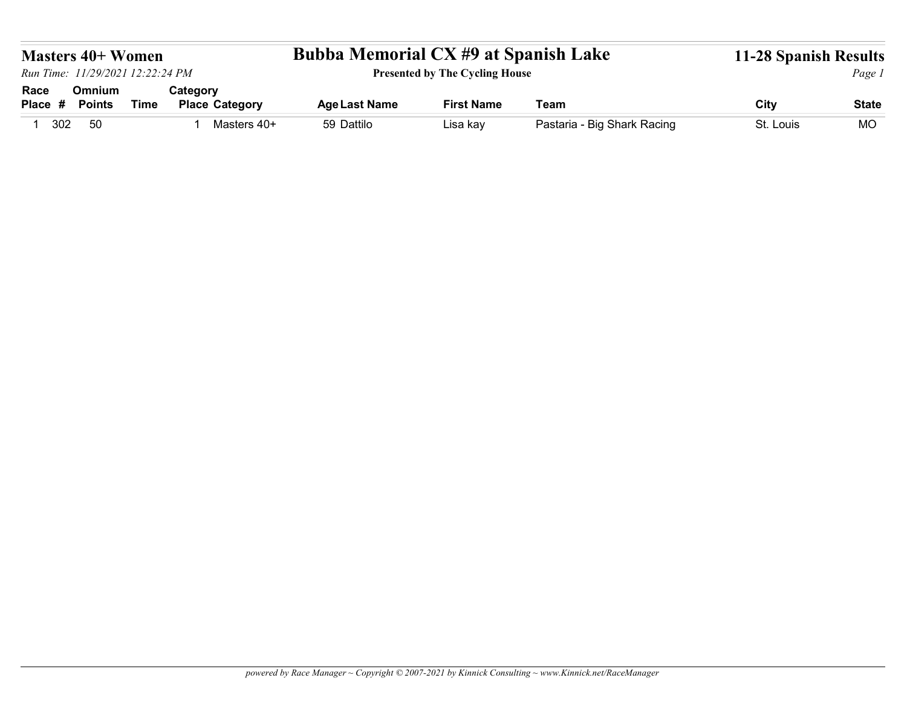| <b>Bubba Memorial CX #9 at Spanish Lake</b><br><b>Masters 40+ Women</b><br><b>Presented by The Cycling House</b><br>Run Time: 11/29/2021 12:22:24 PM<br>Omnium<br>Category<br>Race<br><b>Time</b><br><b>Place Category</b><br><b>Age Last Name</b><br><b>First Name</b><br>Team<br>City<br><b>Points</b><br>Place #<br>50<br>59 Dattilo<br>Pastaria - Big Shark Racing<br>1 302<br>1 Masters 40+<br>St. Louis<br>Lisa kay |  |  |  |              |
|---------------------------------------------------------------------------------------------------------------------------------------------------------------------------------------------------------------------------------------------------------------------------------------------------------------------------------------------------------------------------------------------------------------------------|--|--|--|--------------|
| <b>11-28 Spanish Results</b><br><b>MO</b>                                                                                                                                                                                                                                                                                                                                                                                 |  |  |  |              |
|                                                                                                                                                                                                                                                                                                                                                                                                                           |  |  |  |              |
|                                                                                                                                                                                                                                                                                                                                                                                                                           |  |  |  |              |
|                                                                                                                                                                                                                                                                                                                                                                                                                           |  |  |  |              |
|                                                                                                                                                                                                                                                                                                                                                                                                                           |  |  |  |              |
|                                                                                                                                                                                                                                                                                                                                                                                                                           |  |  |  |              |
|                                                                                                                                                                                                                                                                                                                                                                                                                           |  |  |  |              |
|                                                                                                                                                                                                                                                                                                                                                                                                                           |  |  |  |              |
|                                                                                                                                                                                                                                                                                                                                                                                                                           |  |  |  |              |
|                                                                                                                                                                                                                                                                                                                                                                                                                           |  |  |  |              |
|                                                                                                                                                                                                                                                                                                                                                                                                                           |  |  |  |              |
|                                                                                                                                                                                                                                                                                                                                                                                                                           |  |  |  |              |
|                                                                                                                                                                                                                                                                                                                                                                                                                           |  |  |  |              |
|                                                                                                                                                                                                                                                                                                                                                                                                                           |  |  |  | Page 1       |
|                                                                                                                                                                                                                                                                                                                                                                                                                           |  |  |  |              |
|                                                                                                                                                                                                                                                                                                                                                                                                                           |  |  |  |              |
|                                                                                                                                                                                                                                                                                                                                                                                                                           |  |  |  |              |
|                                                                                                                                                                                                                                                                                                                                                                                                                           |  |  |  | <b>State</b> |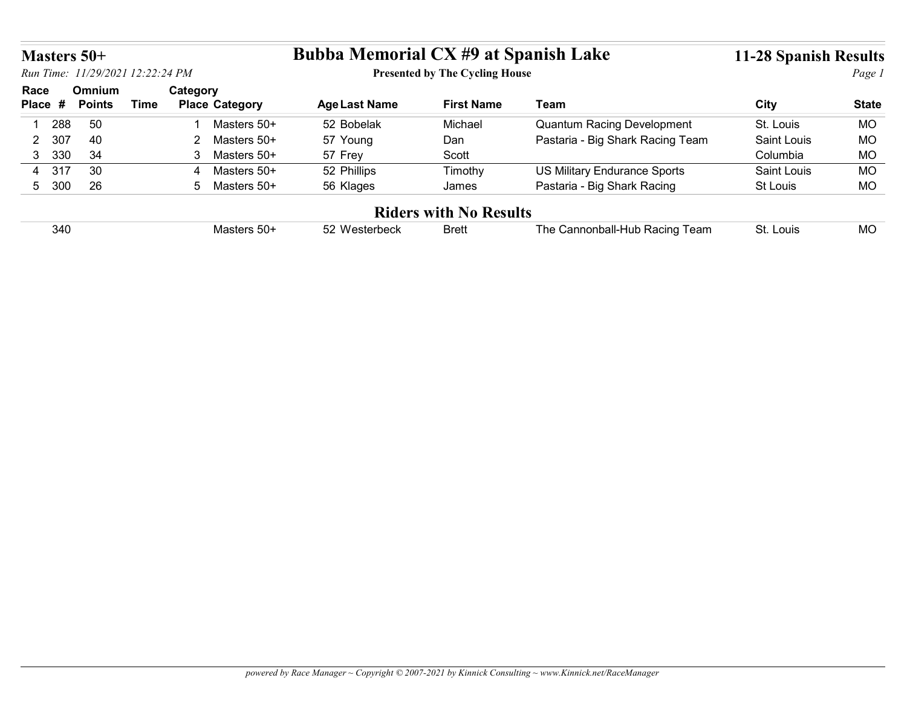| <b>Bubba Memorial CX #9 at Spanish Lake</b><br>Masters 50+<br><b>Presented by The Cycling House</b><br>Run Time: 11/29/2021 12:22:24 PM<br>Race<br>Omnium<br>Category<br>Place #<br><b>Time</b><br><b>Place Category</b><br><b>Age Last Name</b><br><b>First Name</b><br>Team<br><b>City</b><br><b>Points</b><br><b>Quantum Racing Development</b><br>1 288<br>50<br>1 Masters 50+<br>52 Bobelak<br>St. Louis<br><b>MO</b><br>Michael<br>40<br>2 307<br>57 Young<br>Pastaria - Big Shark Racing Team<br>Saint Louis<br><b>MO</b><br>2 Masters 50+<br>Dan<br>330<br>34<br>57 Frey<br>Columbia<br>MO<br>3 <sup>1</sup><br>3 Masters 50+<br>Scott<br><b>US Military Endurance Sports</b><br>4 317<br>30<br>52 Phillips<br><b>MO</b><br>4 Masters 50+<br>Timothy<br>Saint Louis<br>26<br>Pastaria - Big Shark Racing<br><b>MO</b><br>5 300<br>5 Masters 50+<br>St Louis<br>56 Klages<br>James<br><b>Riders with No Results</b><br>340<br>The Cannonball-Hub Racing Team<br><b>MO</b><br>Masters 50+<br>52 Westerbeck<br><b>Brett</b><br>St. Louis | <b>11-28 Spanish Results</b> |  |  |  |  |  |  |  |              |  |
|-----------------------------------------------------------------------------------------------------------------------------------------------------------------------------------------------------------------------------------------------------------------------------------------------------------------------------------------------------------------------------------------------------------------------------------------------------------------------------------------------------------------------------------------------------------------------------------------------------------------------------------------------------------------------------------------------------------------------------------------------------------------------------------------------------------------------------------------------------------------------------------------------------------------------------------------------------------------------------------------------------------------------------------------------|------------------------------|--|--|--|--|--|--|--|--------------|--|
|                                                                                                                                                                                                                                                                                                                                                                                                                                                                                                                                                                                                                                                                                                                                                                                                                                                                                                                                                                                                                                               |                              |  |  |  |  |  |  |  |              |  |
|                                                                                                                                                                                                                                                                                                                                                                                                                                                                                                                                                                                                                                                                                                                                                                                                                                                                                                                                                                                                                                               |                              |  |  |  |  |  |  |  |              |  |
|                                                                                                                                                                                                                                                                                                                                                                                                                                                                                                                                                                                                                                                                                                                                                                                                                                                                                                                                                                                                                                               |                              |  |  |  |  |  |  |  |              |  |
|                                                                                                                                                                                                                                                                                                                                                                                                                                                                                                                                                                                                                                                                                                                                                                                                                                                                                                                                                                                                                                               |                              |  |  |  |  |  |  |  |              |  |
|                                                                                                                                                                                                                                                                                                                                                                                                                                                                                                                                                                                                                                                                                                                                                                                                                                                                                                                                                                                                                                               |                              |  |  |  |  |  |  |  |              |  |
|                                                                                                                                                                                                                                                                                                                                                                                                                                                                                                                                                                                                                                                                                                                                                                                                                                                                                                                                                                                                                                               |                              |  |  |  |  |  |  |  |              |  |
|                                                                                                                                                                                                                                                                                                                                                                                                                                                                                                                                                                                                                                                                                                                                                                                                                                                                                                                                                                                                                                               |                              |  |  |  |  |  |  |  |              |  |
|                                                                                                                                                                                                                                                                                                                                                                                                                                                                                                                                                                                                                                                                                                                                                                                                                                                                                                                                                                                                                                               |                              |  |  |  |  |  |  |  |              |  |
|                                                                                                                                                                                                                                                                                                                                                                                                                                                                                                                                                                                                                                                                                                                                                                                                                                                                                                                                                                                                                                               |                              |  |  |  |  |  |  |  |              |  |
|                                                                                                                                                                                                                                                                                                                                                                                                                                                                                                                                                                                                                                                                                                                                                                                                                                                                                                                                                                                                                                               |                              |  |  |  |  |  |  |  |              |  |
|                                                                                                                                                                                                                                                                                                                                                                                                                                                                                                                                                                                                                                                                                                                                                                                                                                                                                                                                                                                                                                               |                              |  |  |  |  |  |  |  |              |  |
|                                                                                                                                                                                                                                                                                                                                                                                                                                                                                                                                                                                                                                                                                                                                                                                                                                                                                                                                                                                                                                               |                              |  |  |  |  |  |  |  | Page 1       |  |
|                                                                                                                                                                                                                                                                                                                                                                                                                                                                                                                                                                                                                                                                                                                                                                                                                                                                                                                                                                                                                                               |                              |  |  |  |  |  |  |  |              |  |
|                                                                                                                                                                                                                                                                                                                                                                                                                                                                                                                                                                                                                                                                                                                                                                                                                                                                                                                                                                                                                                               |                              |  |  |  |  |  |  |  | <b>State</b> |  |
|                                                                                                                                                                                                                                                                                                                                                                                                                                                                                                                                                                                                                                                                                                                                                                                                                                                                                                                                                                                                                                               |                              |  |  |  |  |  |  |  |              |  |
|                                                                                                                                                                                                                                                                                                                                                                                                                                                                                                                                                                                                                                                                                                                                                                                                                                                                                                                                                                                                                                               |                              |  |  |  |  |  |  |  |              |  |
|                                                                                                                                                                                                                                                                                                                                                                                                                                                                                                                                                                                                                                                                                                                                                                                                                                                                                                                                                                                                                                               |                              |  |  |  |  |  |  |  |              |  |
|                                                                                                                                                                                                                                                                                                                                                                                                                                                                                                                                                                                                                                                                                                                                                                                                                                                                                                                                                                                                                                               |                              |  |  |  |  |  |  |  |              |  |
|                                                                                                                                                                                                                                                                                                                                                                                                                                                                                                                                                                                                                                                                                                                                                                                                                                                                                                                                                                                                                                               |                              |  |  |  |  |  |  |  |              |  |
|                                                                                                                                                                                                                                                                                                                                                                                                                                                                                                                                                                                                                                                                                                                                                                                                                                                                                                                                                                                                                                               |                              |  |  |  |  |  |  |  |              |  |
|                                                                                                                                                                                                                                                                                                                                                                                                                                                                                                                                                                                                                                                                                                                                                                                                                                                                                                                                                                                                                                               |                              |  |  |  |  |  |  |  |              |  |
|                                                                                                                                                                                                                                                                                                                                                                                                                                                                                                                                                                                                                                                                                                                                                                                                                                                                                                                                                                                                                                               |                              |  |  |  |  |  |  |  |              |  |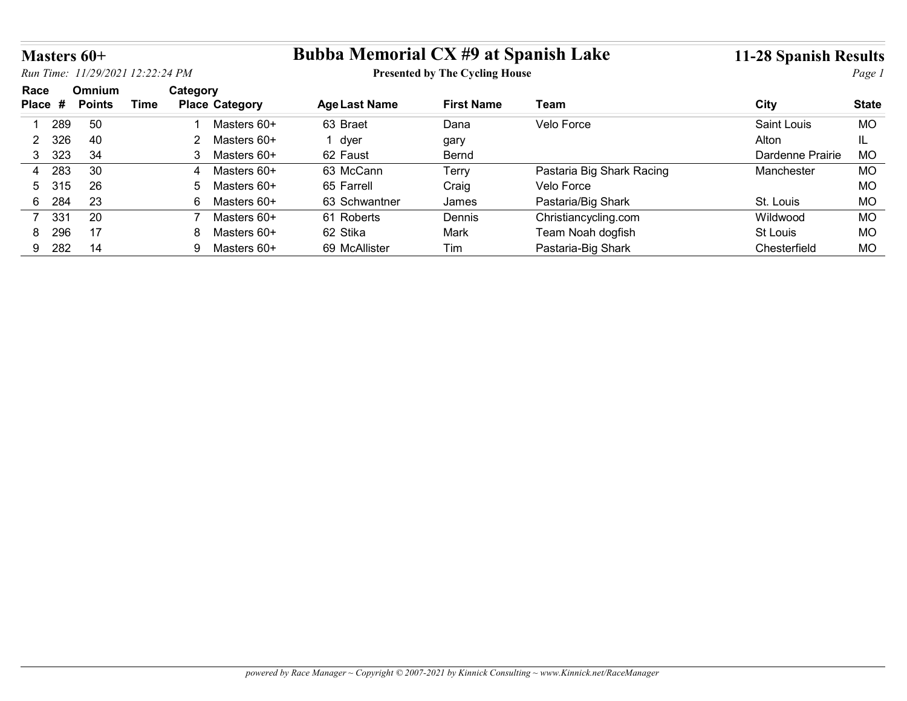| Masters 60+           |               |                                  |                |                            | <b>Bubba Memorial CX #9 at Spanish Lake</b> |                                       |                                           | <b>11-28 Spanish Results</b> |                        |
|-----------------------|---------------|----------------------------------|----------------|----------------------------|---------------------------------------------|---------------------------------------|-------------------------------------------|------------------------------|------------------------|
|                       |               | Run Time: 11/29/2021 12:22:24 PM |                |                            |                                             | <b>Presented by The Cycling House</b> |                                           |                              | Page 1                 |
| Race                  | <b>Omnium</b> |                                  | Category       |                            |                                             |                                       |                                           |                              |                        |
|                       | <b>Points</b> | <b>Time</b>                      |                | <b>Place Category</b>      | <b>Age Last Name</b>                        | <b>First Name</b>                     | Team                                      | <b>City</b>                  | <b>State</b>           |
| Place #               |               |                                  |                | Masters 60+                | 63 Braet                                    | Dana                                  | Velo Force                                | Saint Louis                  | <b>MO</b>              |
| 289                   | 50            |                                  |                |                            |                                             | gary                                  |                                           | Alton                        | IL.                    |
| 326<br>$\overline{2}$ | 40            |                                  | 2              | Masters 60+                | 1 dyer                                      |                                       |                                           |                              |                        |
| 323<br>3              | 34            |                                  | 3              | Masters 60+                | 62 Faust                                    | Bernd                                 |                                           | Dardenne Prairie             | <b>MO</b>              |
| 283<br>4              | 30            |                                  | $\overline{4}$ | Masters 60+                | 63 McCann                                   | Terry                                 | Pastaria Big Shark Racing                 | Manchester                   | <b>MO</b>              |
| 315<br>5              | 26            |                                  | 5              | Masters 60+                | 65 Farrell                                  | Craig                                 | Velo Force                                |                              | <b>MO</b>              |
| 6                     | 23            |                                  | 6              | Masters 60+                | 63 Schwantner                               | James                                 |                                           | St. Louis                    |                        |
| 284                   |               |                                  | 7              |                            |                                             |                                       | Pastaria/Big Shark                        |                              | <b>MO</b>              |
| 7 331<br>296<br>8     | 20<br>17      |                                  | 8              | Masters 60+<br>Masters 60+ | 61 Roberts<br>62 Stika                      | Dennis<br>Mark                        | Christiancycling.com<br>Team Noah dogfish | Wildwood<br>St Louis         | <b>MO</b><br><b>MO</b> |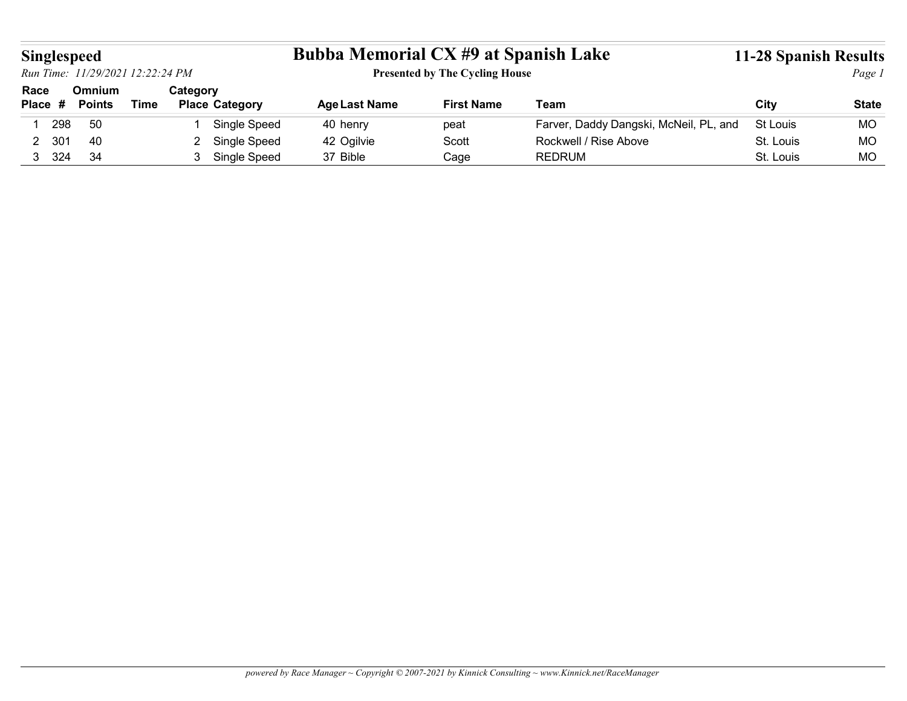| Singlespeed     | Run Time: 11/29/2021 12:22:24 PM |             |                                                  | <b>Bubba Memorial CX #9 at Spanish Lake</b> | <b>Presented by The Cycling House</b> |                                        | 11-28 Spanish Results | Page 1       |
|-----------------|----------------------------------|-------------|--------------------------------------------------|---------------------------------------------|---------------------------------------|----------------------------------------|-----------------------|--------------|
| Race<br>Place # | Omnium<br><b>Points</b>          | <b>Time</b> | Category<br><b>Place Category</b>                | <b>Age Last Name</b>                        | <b>First Name</b>                     | <b>Team</b>                            | <b>City</b>           | <b>State</b> |
| 1 298           | 50                               |             | Single Speed                                     | 40 henry                                    | peat                                  | Farver, Daddy Dangski, McNeil, PL, and | St Louis              | MO           |
| 2 301           | 40                               |             | Single Speed<br>$\overline{2}$<br>3 Single Speed | 42 Ogilvie                                  | Scott                                 | Rockwell / Rise Above                  | St. Louis             | MO           |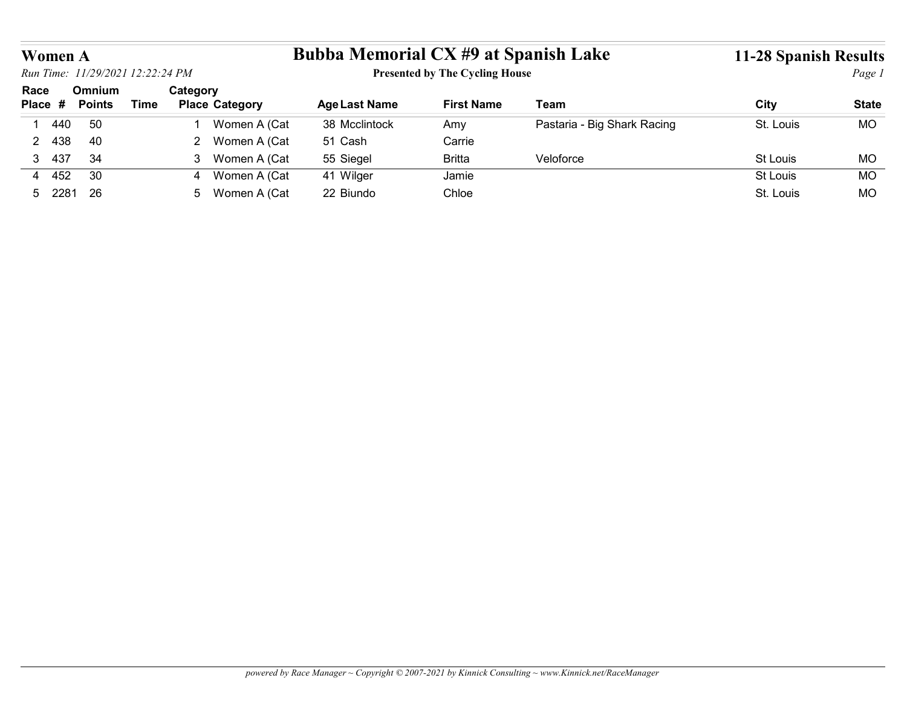| <b>Bubba Memorial CX #9 at Spanish Lake</b><br>Women A                                 |                          |                                                  |                      |                   |             | <b>11-28 Spanish Results</b> |              |
|----------------------------------------------------------------------------------------|--------------------------|--------------------------------------------------|----------------------|-------------------|-------------|------------------------------|--------------|
| <b>Presented by The Cycling House</b><br>Run Time: 11/29/2021 12:22:24 PM              |                          |                                                  |                      |                   |             |                              | Page 1       |
| Race<br>Omnium                                                                         |                          |                                                  |                      |                   |             |                              |              |
|                                                                                        | Place #<br><b>Points</b> | Category<br><b>Time</b><br><b>Place Category</b> | <b>Age Last Name</b> | <b>First Name</b> | <b>Team</b> | <b>City</b>                  | <b>State</b> |
| Pastaria - Big Shark Racing<br>50<br>Women A (Cat<br>38 Mcclintock<br>440<br>Amy<br>-1 |                          |                                                  |                      |                   |             | St. Louis                    | <b>MO</b>    |
| 2 Women A (Cat<br>40<br>51 Cash<br>Carrie<br>2 438                                     |                          |                                                  |                      |                   |             |                              |              |
| 34<br>3 437<br>3 Women A (Cat<br>55 Siegel<br><b>Britta</b><br>Veloforce               |                          |                                                  |                      |                   |             | St Louis                     | MO           |
| 4 452<br>30<br>4 Women A (Cat<br>41 Wilger<br>Jamie                                    |                          |                                                  |                      |                   |             | St Louis                     | <b>MO</b>    |
|                                                                                        |                          |                                                  |                      |                   |             |                              |              |
|                                                                                        |                          |                                                  |                      |                   |             |                              |              |
|                                                                                        |                          |                                                  |                      |                   |             |                              |              |
|                                                                                        |                          |                                                  |                      |                   |             |                              |              |
|                                                                                        |                          |                                                  |                      |                   |             |                              |              |
|                                                                                        |                          |                                                  |                      |                   |             |                              |              |
| 5 2281 26<br>5 Women A (Cat<br>22 Biundo<br>Chloe                                      |                          |                                                  |                      |                   |             | St. Louis                    | MO           |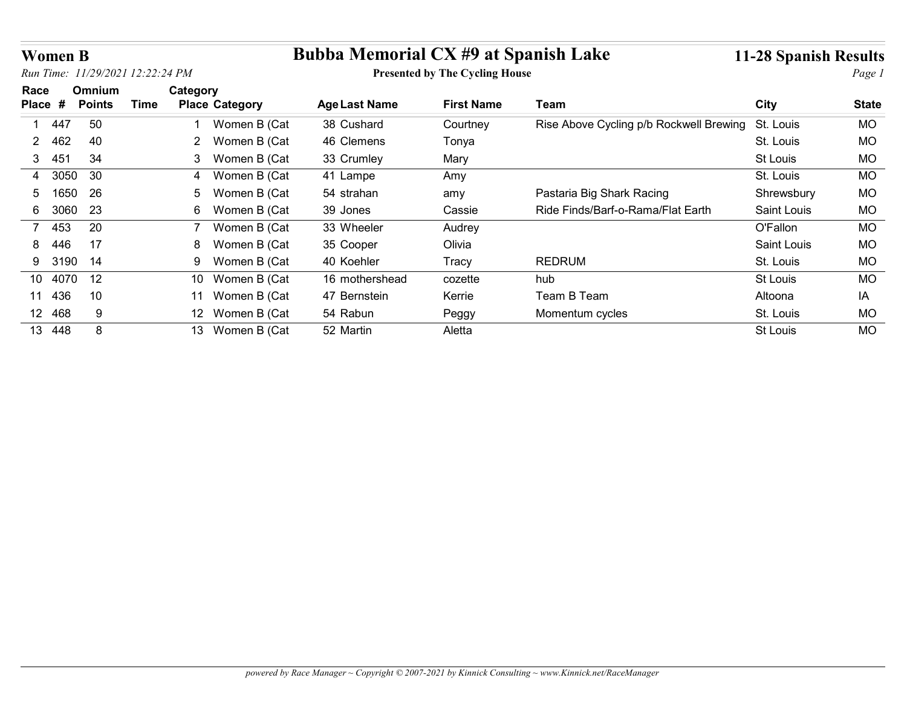| <b>Women B</b>   |               |                                  |                                    | <b>Bubba Memorial CX #9 at Spanish Lake</b> |                                       |                                         | <b>11-28 Spanish Results</b> |              |
|------------------|---------------|----------------------------------|------------------------------------|---------------------------------------------|---------------------------------------|-----------------------------------------|------------------------------|--------------|
|                  |               | Run Time: 11/29/2021 12:22:24 PM |                                    |                                             | <b>Presented by The Cycling House</b> |                                         |                              | Page 1       |
| Race             | <b>Omnium</b> | Category                         |                                    |                                             |                                       |                                         |                              |              |
| Place #          | <b>Points</b> | <b>Time</b>                      | <b>Place Category</b>              | <b>Age Last Name</b>                        | <b>First Name</b>                     | <b>Team</b>                             | <b>City</b>                  | <b>State</b> |
| 447              | 50            |                                  | Women B (Cat                       | 38 Cushard                                  | Courtney                              | Rise Above Cycling p/b Rockwell Brewing | St. Louis                    | <b>MO</b>    |
| - 462            | 40            | $2^{\circ}$                      | Women B (Cat                       | 46 Clemens                                  | Tonya                                 |                                         | St. Louis                    | MO           |
| - 451<br>3       | 34            | 3                                | Women B (Cat                       | 33 Crumley                                  | Mary                                  |                                         | St Louis                     | MO           |
| 3050<br>4        | 30            | 4                                | Women B (Cat                       | 41 Lampe                                    | Amy                                   |                                         | St. Louis                    | MO           |
| 1650<br>5        | 26            | 5                                | Women B (Cat                       | 54 strahan                                  | amy                                   | Pastaria Big Shark Racing               | Shrewsbury                   | MO           |
| 6 3060           | 23            |                                  | 6 Women B (Cat                     | 39 Jones                                    | Cassie                                | Ride Finds/Barf-o-Rama/Flat Earth       | Saint Louis                  | MO           |
|                  | 20            | 7                                | Women B (Cat                       | 33 Wheeler                                  | Audrey                                |                                         | O'Fallon                     | MO           |
| 453              | 17            | 8                                | Women B (Cat                       | 35 Cooper                                   | Olivia                                |                                         | Saint Louis                  | MO           |
| -446             |               |                                  | Women B (Cat                       | 40 Koehler                                  | Tracy                                 | <b>REDRUM</b>                           | St. Louis                    | MO           |
| 3190<br>9        | 14            | 9                                |                                    |                                             |                                       | hub                                     | <b>St Louis</b>              | <b>MO</b>    |
| 10 4070 12       |               |                                  | 10 Women B (Cat                    | 16 mothershead                              | cozette                               |                                         |                              |              |
|                  |               |                                  |                                    | 47 Bernstein                                | Kerrie                                | Team B Team                             | Altoona                      | IA           |
| 11 436<br>12 468 | 10<br>9       |                                  | 11 Women B (Cat<br>12 Women B (Cat | 54 Rabun                                    | Peggy                                 | Momentum cycles                         | St. Louis                    | MO           |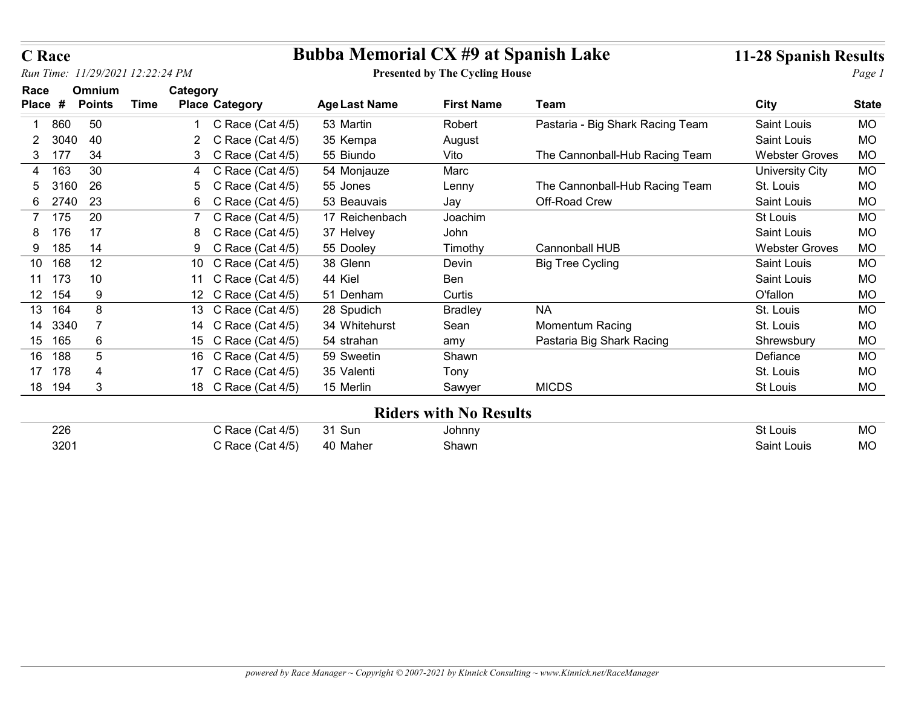| <b>C</b> Race    |                                  |      |                                            |                                             |                                       |                                  |                              |                        |
|------------------|----------------------------------|------|--------------------------------------------|---------------------------------------------|---------------------------------------|----------------------------------|------------------------------|------------------------|
|                  |                                  |      |                                            | <b>Bubba Memorial CX #9 at Spanish Lake</b> |                                       |                                  | <b>11-28 Spanish Results</b> |                        |
|                  | Run Time: 11/29/2021 12:22:24 PM |      |                                            |                                             | <b>Presented by The Cycling House</b> |                                  |                              | Page 1                 |
| Race<br>Place #  | Omnium<br><b>Points</b>          | Time | Category<br><b>Place Category</b>          | <b>Age Last Name</b>                        | <b>First Name</b>                     | Team                             | <b>City</b>                  | <b>State</b>           |
| 860              | 50                               |      | C Race (Cat 4/5)                           | 53 Martin                                   | Robert                                | Pastaria - Big Shark Racing Team | Saint Louis                  | <b>MO</b>              |
|                  | 3040<br>40                       |      | C Race (Cat 4/5)<br>$\mathbf{2}^-$         | 35 Kempa                                    | August                                |                                  | Saint Louis                  | <b>MO</b>              |
| 3<br>- 177       | 34                               |      | C Race (Cat $4/5$ )<br>3                   | 55 Biundo                                   | Vito                                  | The Cannonball-Hub Racing Team   | <b>Webster Groves</b>        | <b>MO</b>              |
| 163<br>4         | 30                               |      | C Race (Cat 4/5)<br>4                      | 54 Monjauze                                 | Marc                                  |                                  | <b>University City</b>       | <b>MO</b>              |
| 5                | 26<br>3160                       |      | Race (Cat 4/5)<br>5<br>C                   | 55 Jones                                    | Lenny                                 | The Cannonball-Hub Racing Team   | St. Louis                    | <b>MO</b>              |
| 6                | 23<br>2740                       |      | Race (Cat 4/5)<br>6.<br>C                  | 53 Beauvais                                 | Jay                                   | Off-Road Crew                    | Saint Louis                  | <b>MO</b>              |
| 7 175            | 20                               |      | C Race (Cat 4/5)                           | 17 Reichenbach                              | Joachim                               |                                  | St Louis                     | <b>MO</b>              |
| 176<br>8         | 17                               |      | 8 C Race (Cat 4/5)                         | 37 Helvey                                   | John                                  |                                  | Saint Louis                  | <b>MO</b>              |
| 185<br>9         | 14                               |      | C Race (Cat 4/5)<br>9.                     | 55 Dooley                                   | Timothy                               | Cannonball HUB                   | <b>Webster Groves</b>        | <b>MO</b>              |
| 10 168           | 12                               |      | C Race (Cat $4/5$ )<br>10                  | 38 Glenn                                    | Devin                                 | <b>Big Tree Cycling</b>          | Saint Louis                  | <b>MO</b>              |
| 11 173<br>12 154 | 10<br>9                          |      | 11 C Race (Cat 4/5)<br>12 C Race (Cat 4/5) | 44 Kiel<br>51 Denham                        | Ben<br>Curtis                         |                                  | Saint Louis<br>O'fallon      | <b>MO</b><br><b>MO</b> |
| 13 164           | $\bf 8$                          |      | 13 C Race (Cat 4/5)                        | 28 Spudich                                  | <b>Bradley</b>                        | $\sf NA$                         | St. Louis                    | <b>MO</b>              |
| 14 3340          | $\overline{7}$                   |      | 14 C Race (Cat 4/5)                        | 34 Whitehurst                               | Sean                                  | Momentum Racing                  | St. Louis                    | $MO$                   |
| 15 165           | 6                                |      | 15 C Race (Cat 4/5)                        | 54 strahan                                  | amy                                   | Pastaria Big Shark Racing        | Shrewsbury                   | MO                     |
| 16 188           | $5\phantom{.0}$                  |      | 16 C Race (Cat 4/5)                        | 59 Sweetin                                  | Shawn                                 |                                  | Defiance                     | MO                     |
| 17 178           | $\overline{4}$                   |      | 17 C Race (Cat 4/5)                        | 35 Valenti                                  | Tony                                  |                                  | St. Louis                    | <b>MO</b>              |
| 18 194           | $\sqrt{3}$                       |      | 18 C Race (Cat 4/5)                        | 15 Merlin                                   | Sawyer                                | <b>MICDS</b>                     | St Louis                     | MO                     |
|                  |                                  |      |                                            |                                             | <b>Riders with No Results</b>         |                                  |                              |                        |
| 226              |                                  |      | C Race (Cat 4/5)                           | 31 Sun                                      | Johnny                                |                                  | St Louis                     | <b>MO</b>              |
|                  | 3201                             |      | C Race (Cat 4/5)                           | 40 Maher                                    | Shawn                                 |                                  | Saint Louis                  | MO                     |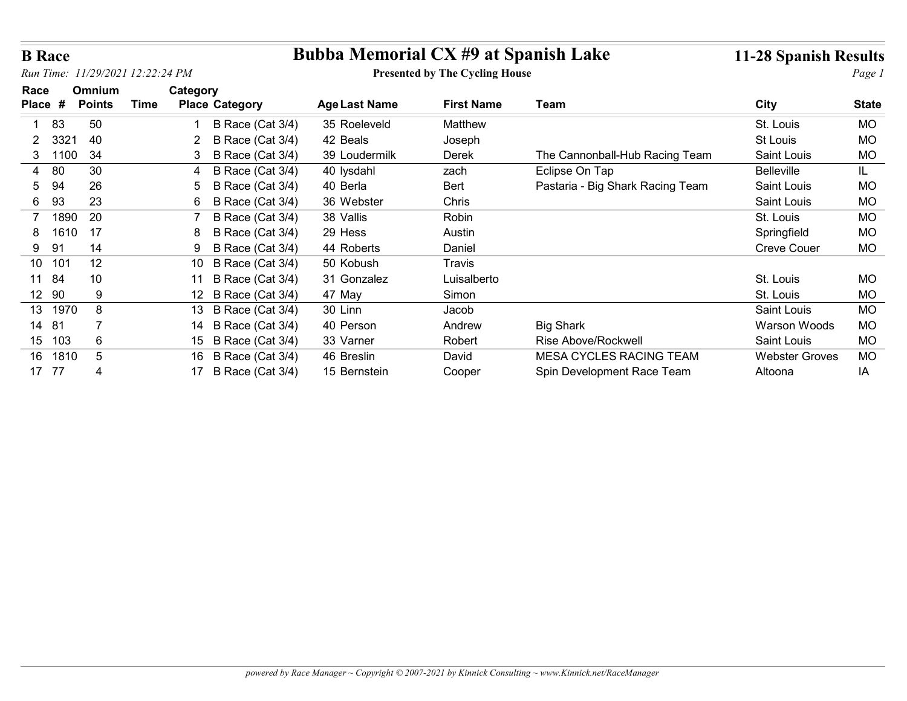| <b>B</b> Race          |                 |                                      | <b>Bubba Memorial CX #9 at Spanish Lake</b> |                                       |                                  | <b>11-28 Spanish Results</b> |              |
|------------------------|-----------------|--------------------------------------|---------------------------------------------|---------------------------------------|----------------------------------|------------------------------|--------------|
|                        |                 | Run Time: 11/29/2021 12:22:24 PM     |                                             | <b>Presented by The Cycling House</b> |                                  |                              | Page 1       |
| Race                   | Omnium          | Category                             |                                             |                                       |                                  |                              |              |
| Place #                | <b>Points</b>   | <b>Time</b><br><b>Place Category</b> | <b>Age Last Name</b>                        | <b>First Name</b>                     | Team                             | <b>City</b>                  | <b>State</b> |
| 83                     | 50              | B Race (Cat 3/4)                     | 35 Roeleveld                                | Matthew                               |                                  | St. Louis                    | <b>MO</b>    |
| 3321<br>$\mathbf{2}$   | 40              | B Race (Cat 3/4)<br>$\mathbf{2}^-$   | 42 Beals                                    | Joseph                                |                                  | St Louis                     | <b>MO</b>    |
| 3 1100                 | 34              | B Race (Cat 3/4)<br>3                | 39 Loudermilk                               | Derek                                 | The Cannonball-Hub Racing Team   | Saint Louis                  | <b>MO</b>    |
| 80<br>4                | 30              | B Race (Cat 3/4)<br>4                | 40 lysdahl                                  | zach                                  | Eclipse On Tap                   | Belleville                   | IL.          |
| 94<br>5                | 26              | B Race (Cat 3/4)<br>5                | 40 Berla                                    | Bert                                  | Pastaria - Big Shark Racing Team | Saint Louis                  | <b>MO</b>    |
| 93<br>6                | 23              | B Race (Cat 3/4)<br>6                | 36 Webster                                  | Chris                                 |                                  | Saint Louis                  | <b>MO</b>    |
| 1890<br>$\overline{7}$ | 20              | B Race (Cat 3/4)                     | 38 Vallis                                   | Robin                                 |                                  | St. Louis                    | <b>MO</b>    |
| 8<br>1610              | 17              | B Race (Cat 3/4)<br>8                | 29 Hess                                     | Austin                                |                                  | Springfield                  | <b>MO</b>    |
| 9<br>-91               | 14              | B Race (Cat 3/4)<br>9                | 44 Roberts                                  | Daniel                                |                                  | <b>Creve Couer</b>           | <b>MO</b>    |
| 10 101                 | 12              | B Race (Cat 3/4)<br>10               | 50 Kobush                                   | Travis                                |                                  |                              |              |
| 11 84                  | 10              | 11 B Race (Cat 3/4)                  | 31 Gonzalez                                 | Luisalberto                           |                                  | St. Louis                    | <b>MO</b>    |
| 12 90                  | 9               | 12 B Race (Cat 3/4)                  | 47 May                                      | Simon                                 |                                  | St. Louis                    | <b>MO</b>    |
| 13 1970                | 8               | 13 B Race (Cat 3/4)                  | 30 Linn                                     | Jacob                                 |                                  | Saint Louis                  | <b>MO</b>    |
| 14 81                  | 7               | 14 B Race (Cat 3/4)                  | 40 Person                                   | Andrew                                | <b>Big Shark</b>                 | Warson Woods                 | <b>MO</b>    |
| 15 103                 | 6               | 15 B Race (Cat 3/4)                  | 33 Varner                                   | Robert                                | Rise Above/Rockwell              | Saint Louis                  | MO           |
| 16 1810<br>17 77       | $5\phantom{.0}$ | 16 B Race (Cat 3/4)                  | 46 Breslin                                  | David                                 | MESA CYCLES RACING TEAM          | <b>Webster Groves</b>        | MO           |
|                        | $\overline{4}$  | 17 B Race (Cat 3/4)                  | 15 Bernstein                                | Cooper                                | Spin Development Race Team       | Altoona                      | IA           |